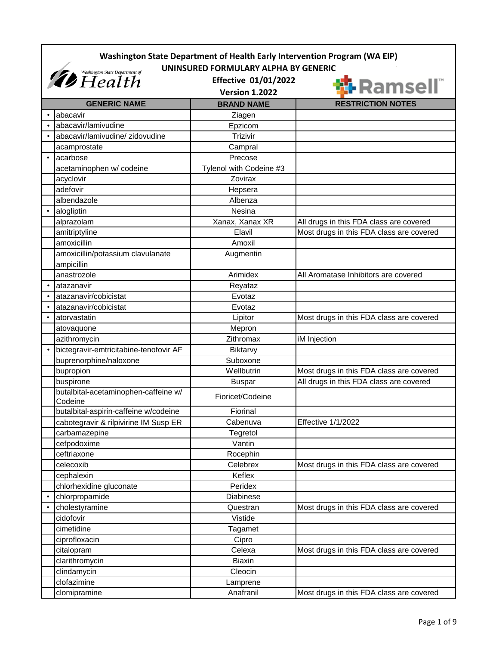|           | Washington State Department of Health Early Intervention Program (WA EIP)                                    |                         |                                          |
|-----------|--------------------------------------------------------------------------------------------------------------|-------------------------|------------------------------------------|
|           | UNINSURED FORMULARY ALPHA BY GENERIC<br><b><i>Ab</i></b> Figure Department of<br><b>Effective 01/01/2022</b> |                         |                                          |
|           |                                                                                                              | <b>Version 1.2022</b>   | <b>锦 Ramsell</b> ๊                       |
|           | <b>GENERIC NAME</b>                                                                                          | <b>BRAND NAME</b>       | <b>RESTRICTION NOTES</b>                 |
|           | abacavir                                                                                                     | Ziagen                  |                                          |
|           | abacavir/lamivudine                                                                                          | Epzicom                 |                                          |
|           | abacavir/lamivudine/ zidovudine                                                                              | Trizivir                |                                          |
|           | acamprostate                                                                                                 | Campral                 |                                          |
| $\bullet$ | acarbose                                                                                                     | Precose                 |                                          |
|           | acetaminophen w/ codeine                                                                                     | Tylenol with Codeine #3 |                                          |
|           | acyclovir                                                                                                    | Zovirax                 |                                          |
|           | adefovir                                                                                                     | Hepsera                 |                                          |
|           | albendazole                                                                                                  | Albenza                 |                                          |
|           | alogliptin                                                                                                   | Nesina                  |                                          |
|           | alprazolam                                                                                                   | Xanax, Xanax XR         | All drugs in this FDA class are covered  |
|           | amitriptyline                                                                                                | Elavil                  | Most drugs in this FDA class are covered |
|           | amoxicillin                                                                                                  | Amoxil                  |                                          |
|           | amoxicillin/potassium clavulanate                                                                            | Augmentin               |                                          |
|           | ampicillin                                                                                                   |                         |                                          |
|           | anastrozole                                                                                                  | Arimidex                | All Aromatase Inhibitors are covered     |
|           | atazanavir                                                                                                   | Reyataz                 |                                          |
|           | atazanavir/cobicistat                                                                                        | Evotaz                  |                                          |
|           | atazanavir/cobicistat                                                                                        | Evotaz                  |                                          |
|           | atorvastatin                                                                                                 | Lipitor                 | Most drugs in this FDA class are covered |
|           | atovaquone                                                                                                   | Mepron                  |                                          |
|           | azithromycin                                                                                                 | Zithromax               | iM Injection                             |
|           | bictegravir-emtricitabine-tenofovir AF                                                                       | Biktarvy                |                                          |
|           | buprenorphine/naloxone                                                                                       | Suboxone                |                                          |
|           | bupropion                                                                                                    | Wellbutrin              | Most drugs in this FDA class are covered |
|           | buspirone                                                                                                    | <b>Buspar</b>           | All drugs in this FDA class are covered  |
|           | butalbital-acetaminophen-caffeine w/<br>Codeine                                                              | Fioricet/Codeine        |                                          |
|           | butalbital-aspirin-caffeine w/codeine                                                                        | Fiorinal                |                                          |
|           | cabotegravir & rilpivirine IM Susp ER                                                                        | Cabenuva                | <b>Effective 1/1/2022</b>                |
|           | carbamazepine                                                                                                | Tegretol                |                                          |
|           | cefpodoxime                                                                                                  | Vantin                  |                                          |
|           | ceftriaxone                                                                                                  | Rocephin                |                                          |
|           | celecoxib                                                                                                    | Celebrex                | Most drugs in this FDA class are covered |
|           | cephalexin                                                                                                   | Keflex                  |                                          |
|           | chlorhexidine gluconate                                                                                      | Peridex                 |                                          |
| $\bullet$ | chlorpropamide                                                                                               | Diabinese               |                                          |
|           | cholestyramine                                                                                               | Questran                | Most drugs in this FDA class are covered |
|           | cidofovir                                                                                                    | Vistide                 |                                          |
|           | cimetidine                                                                                                   | Tagamet                 |                                          |
|           | ciprofloxacin                                                                                                | Cipro                   |                                          |
|           | citalopram                                                                                                   | Celexa                  | Most drugs in this FDA class are covered |
|           | clarithromycin                                                                                               | <b>Biaxin</b>           |                                          |
|           | clindamycin                                                                                                  | Cleocin                 |                                          |
|           | clofazimine                                                                                                  | Lamprene                |                                          |
|           | clomipramine                                                                                                 | Anafranil               | Most drugs in this FDA class are covered |
|           |                                                                                                              |                         |                                          |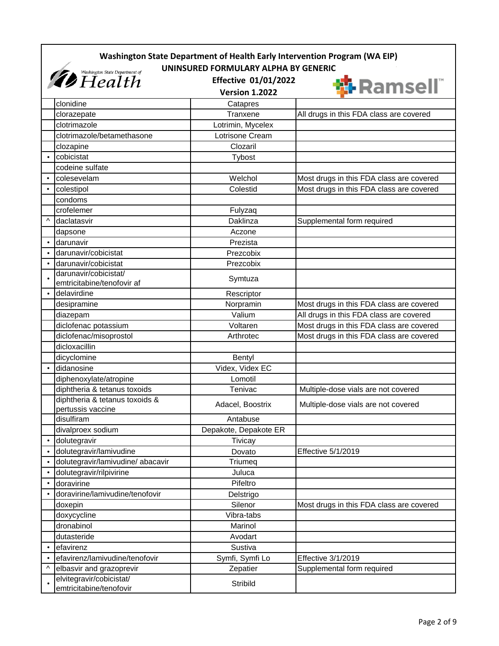|           | Washington State Department of Health Early Intervention Program (WA EIP)<br>UNINSURED FORMULARY ALPHA BY GENERIC |                                                      |                                          |  |
|-----------|-------------------------------------------------------------------------------------------------------------------|------------------------------------------------------|------------------------------------------|--|
|           | <i><b><i>D</i></b> Washington State Department of</i>                                                             | <b>Effective 01/01/2022</b><br><b>Version 1.2022</b> | <b>锦 Ramsell</b>                         |  |
|           | clonidine                                                                                                         | Catapres                                             |                                          |  |
|           | clorazepate                                                                                                       | Tranxene                                             | All drugs in this FDA class are covered  |  |
|           | clotrimazole                                                                                                      | Lotrimin, Mycelex                                    |                                          |  |
|           | clotrimazole/betamethasone                                                                                        | Lotrisone Cream                                      |                                          |  |
|           | clozapine                                                                                                         | Clozaril                                             |                                          |  |
|           | cobicistat                                                                                                        | Tybost                                               |                                          |  |
|           | codeine sulfate                                                                                                   |                                                      |                                          |  |
|           | colesevelam                                                                                                       | Welchol                                              | Most drugs in this FDA class are covered |  |
|           | colestipol                                                                                                        | Colestid                                             | Most drugs in this FDA class are covered |  |
|           | condoms                                                                                                           |                                                      |                                          |  |
|           | crofelemer                                                                                                        | Fulyzaq                                              |                                          |  |
| Λ         | daclatasvir                                                                                                       | Daklinza                                             | Supplemental form required               |  |
|           | dapsone                                                                                                           | Aczone                                               |                                          |  |
| $\bullet$ | darunavir                                                                                                         | Prezista                                             |                                          |  |
|           | darunavir/cobicistat                                                                                              | Prezcobix                                            |                                          |  |
|           | darunavir/cobicistat                                                                                              | Prezcobix                                            |                                          |  |
|           | darunavir/cobicistat/                                                                                             |                                                      |                                          |  |
|           | emtricitabine/tenofovir af                                                                                        | Symtuza                                              |                                          |  |
|           | delavirdine                                                                                                       | Rescriptor                                           |                                          |  |
|           | desipramine                                                                                                       | Norpramin                                            | Most drugs in this FDA class are covered |  |
|           | diazepam                                                                                                          | Valium                                               | All drugs in this FDA class are covered  |  |
|           | diclofenac potassium                                                                                              | Voltaren                                             | Most drugs in this FDA class are covered |  |
|           | diclofenac/misoprostol                                                                                            | Arthrotec                                            | Most drugs in this FDA class are covered |  |
|           | dicloxacillin                                                                                                     |                                                      |                                          |  |
|           | dicyclomine                                                                                                       | Bentyl                                               |                                          |  |
| $\bullet$ | didanosine                                                                                                        | Videx, Videx EC                                      |                                          |  |
|           | diphenoxylate/atropine                                                                                            | Lomotil                                              |                                          |  |
|           | diphtheria & tetanus toxoids                                                                                      | Tenivac                                              | Multiple-dose vials are not covered      |  |
|           | diphtheria & tetanus toxoids &<br>pertussis vaccine                                                               | Adacel, Boostrix                                     | Multiple-dose vials are not covered      |  |
|           | disulfiram                                                                                                        | Antabuse                                             |                                          |  |
|           | divalproex sodium                                                                                                 | Depakote, Depakote ER                                |                                          |  |
| $\bullet$ | dolutegravir                                                                                                      | Tivicay                                              |                                          |  |
|           | dolutegravir/lamivudine                                                                                           | Dovato                                               | Effective 5/1/2019                       |  |
|           | dolutegravir/lamivudine/ abacavir                                                                                 | Triumeq                                              |                                          |  |
| $\bullet$ | dolutegravir/rilpivirine                                                                                          | Juluca                                               |                                          |  |
|           | doravirine                                                                                                        | Pifeltro                                             |                                          |  |
|           | doravirine/lamivudine/tenofovir                                                                                   | Delstrigo                                            |                                          |  |
|           | doxepin                                                                                                           | Silenor                                              | Most drugs in this FDA class are covered |  |
|           | doxycycline                                                                                                       | Vibra-tabs                                           |                                          |  |
|           | dronabinol                                                                                                        | Marinol                                              |                                          |  |
|           | dutasteride                                                                                                       | Avodart                                              |                                          |  |
|           | efavirenz                                                                                                         | Sustiva                                              |                                          |  |
|           | efavirenz/lamivudine/tenofovir                                                                                    | Symfi, Symfi Lo                                      | Effective 3/1/2019                       |  |
| ۸         | elbasvir and grazoprevir                                                                                          | Zepatier                                             | Supplemental form required               |  |
|           | elvitegravir/cobicistat/<br>emtricitabine/tenofovir                                                               | Stribild                                             |                                          |  |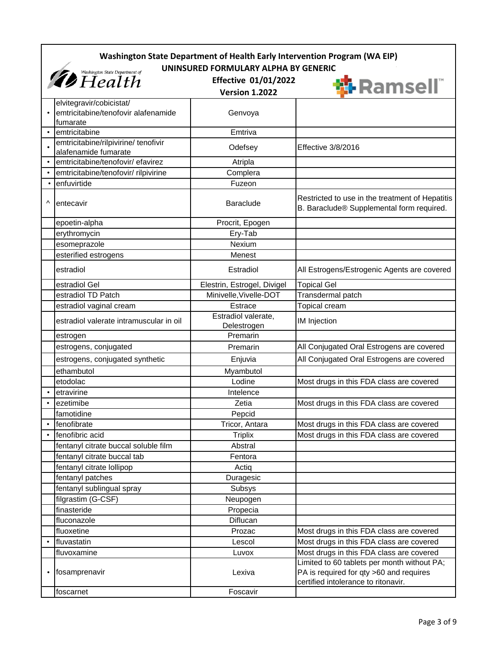|           | Washington State Department of Health Early Intervention Program (WA EIP) |                                    |                                                                                                                               |
|-----------|---------------------------------------------------------------------------|------------------------------------|-------------------------------------------------------------------------------------------------------------------------------|
|           | UNINSURED FORMULARY ALPHA BY GENERIC                                      |                                    |                                                                                                                               |
|           | <b><i>Ab</i></b> Washington State Department of                           | <b>Effective 01/01/2022</b>        | <b>锦 Ramsell</b>                                                                                                              |
|           |                                                                           | <b>Version 1.2022</b>              |                                                                                                                               |
|           | elvitegravir/cobicistat/                                                  |                                    |                                                                                                                               |
|           | emtricitabine/tenofovir alafenamide                                       | Genvoya                            |                                                                                                                               |
|           | fumarate<br>emtricitabine                                                 | Emtriva                            |                                                                                                                               |
|           | emtricitabine/rilpivirine/ tenofivir                                      |                                    |                                                                                                                               |
|           | alafenamide fumarate                                                      | Odefsey                            | Effective 3/8/2016                                                                                                            |
|           | emtricitabine/tenofovir/ efavirez                                         | Atripla                            |                                                                                                                               |
|           | emtricitabine/tenofovir/ rilpivirine                                      | Complera                           |                                                                                                                               |
| $\bullet$ | enfuvirtide                                                               | Fuzeon                             |                                                                                                                               |
| ۸         | entecavir                                                                 | <b>Baraclude</b>                   | Restricted to use in the treatment of Hepatitis<br>B. Baraclude® Supplemental form required.                                  |
|           | epoetin-alpha                                                             | Procrit, Epogen                    |                                                                                                                               |
|           | erythromycin                                                              | Ery-Tab                            |                                                                                                                               |
|           | esomeprazole                                                              | Nexium                             |                                                                                                                               |
|           | esterified estrogens                                                      | Menest                             |                                                                                                                               |
|           | estradiol                                                                 | Estradiol                          | All Estrogens/Estrogenic Agents are covered                                                                                   |
|           | estradiol Gel                                                             | Elestrin, Estrogel, Divigel        | <b>Topical Gel</b>                                                                                                            |
|           | estradiol TD Patch                                                        | Minivelle, Vivelle-DOT             | Transdermal patch                                                                                                             |
|           | estradiol vaginal cream                                                   | Estrace                            | Topical cream                                                                                                                 |
|           | estradiol valerate intramuscular in oil                                   | Estradiol valerate,<br>Delestrogen | <b>IM Injection</b>                                                                                                           |
|           | estrogen                                                                  | Premarin                           |                                                                                                                               |
|           | estrogens, conjugated                                                     | Premarin                           | All Conjugated Oral Estrogens are covered                                                                                     |
|           | estrogens, conjugated synthetic                                           | Enjuvia                            | All Conjugated Oral Estrogens are covered                                                                                     |
|           | ethambutol                                                                | Myambutol                          |                                                                                                                               |
|           | etodolac                                                                  | Lodine                             | Most drugs in this FDA class are covered                                                                                      |
| $\bullet$ | etravirine                                                                | Intelence                          |                                                                                                                               |
|           | ezetimibe                                                                 | Zetia                              | Most drugs in this FDA class are covered                                                                                      |
|           | famotidine                                                                | Pepcid                             |                                                                                                                               |
|           | fenofibrate                                                               | Tricor, Antara                     | Most drugs in this FDA class are covered                                                                                      |
|           | fenofibric acid                                                           | <b>Triplix</b>                     | Most drugs in this FDA class are covered                                                                                      |
|           | fentanyl citrate buccal soluble film                                      | Abstral                            |                                                                                                                               |
|           | fentanyl citrate buccal tab                                               | Fentora                            |                                                                                                                               |
|           | fentanyl citrate lollipop                                                 | Actiq                              |                                                                                                                               |
|           | fentanyl patches                                                          | Duragesic                          |                                                                                                                               |
|           | fentanyl sublingual spray                                                 | Subsys                             |                                                                                                                               |
|           | filgrastim (G-CSF)                                                        | Neupogen                           |                                                                                                                               |
|           | finasteride                                                               | Propecia                           |                                                                                                                               |
|           | fluconazole                                                               | Diflucan                           |                                                                                                                               |
|           | fluoxetine                                                                | Prozac                             | Most drugs in this FDA class are covered                                                                                      |
| $\bullet$ | fluvastatin                                                               | Lescol                             | Most drugs in this FDA class are covered                                                                                      |
|           | fluvoxamine                                                               | Luvox                              | Most drugs in this FDA class are covered                                                                                      |
| $\bullet$ | fosamprenavir                                                             | Lexiva                             | Limited to 60 tablets per month without PA;<br>PA is required for qty >60 and requires<br>certified intolerance to ritonavir. |
|           | foscarnet                                                                 | Foscavir                           |                                                                                                                               |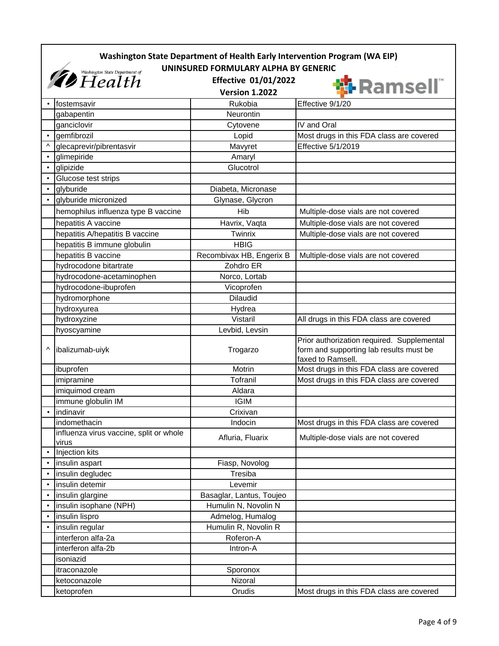|                                                                                                                                                     | Washington State Department of Health Early Intervention Program (WA EIP) |                          |                                                                                                            |  |
|-----------------------------------------------------------------------------------------------------------------------------------------------------|---------------------------------------------------------------------------|--------------------------|------------------------------------------------------------------------------------------------------------|--|
| UNINSURED FORMULARY ALPHA BY GENERIC<br><i><b><i>Ab</i></b> Health <i>Cepartment of</i></i><br><b>Effective 01/01/2022</b><br><b>Version 1.2022</b> |                                                                           |                          | <b>协 Ramsell</b>                                                                                           |  |
|                                                                                                                                                     | fostemsavir                                                               | Rukobia                  | Effective 9/1/20                                                                                           |  |
|                                                                                                                                                     | gabapentin                                                                | Neurontin                |                                                                                                            |  |
|                                                                                                                                                     | ganciclovir                                                               | Cytovene                 | IV and Oral                                                                                                |  |
|                                                                                                                                                     | gemfibrozil                                                               | Lopid                    | Most drugs in this FDA class are covered                                                                   |  |
|                                                                                                                                                     | glecaprevir/pibrentasvir                                                  | Mavyret                  | Effective 5/1/2019                                                                                         |  |
| $\bullet$                                                                                                                                           | glimepiride                                                               | Amaryl                   |                                                                                                            |  |
|                                                                                                                                                     | glipizide                                                                 | Glucotrol                |                                                                                                            |  |
|                                                                                                                                                     | Glucose test strips                                                       |                          |                                                                                                            |  |
| $\bullet$                                                                                                                                           | glyburide                                                                 | Diabeta, Micronase       |                                                                                                            |  |
|                                                                                                                                                     | glyburide micronized                                                      | Glynase, Glycron         |                                                                                                            |  |
|                                                                                                                                                     | hemophilus influenza type B vaccine                                       | Hib                      | Multiple-dose vials are not covered                                                                        |  |
|                                                                                                                                                     | hepatitis A vaccine                                                       | Havrix, Vaqta            | Multiple-dose vials are not covered                                                                        |  |
|                                                                                                                                                     | hepatitis A/hepatitis B vaccine                                           | Twinrix                  | Multiple-dose vials are not covered                                                                        |  |
|                                                                                                                                                     | hepatitis B immune globulin                                               | <b>HBIG</b>              |                                                                                                            |  |
|                                                                                                                                                     | hepatitis B vaccine                                                       | Recombivax HB, Engerix B | Multiple-dose vials are not covered                                                                        |  |
|                                                                                                                                                     | hydrocodone bitartrate                                                    | Zohdro ER                |                                                                                                            |  |
|                                                                                                                                                     | hydrocodone-acetaminophen                                                 | Norco, Lortab            |                                                                                                            |  |
|                                                                                                                                                     | hydrocodone-ibuprofen                                                     | Vicoprofen               |                                                                                                            |  |
|                                                                                                                                                     | hydromorphone                                                             | <b>Dilaudid</b>          |                                                                                                            |  |
|                                                                                                                                                     | hydroxyurea                                                               | Hydrea                   |                                                                                                            |  |
|                                                                                                                                                     | hydroxyzine                                                               | Vistaril                 | All drugs in this FDA class are covered                                                                    |  |
|                                                                                                                                                     | hyoscyamine                                                               | Levbid, Levsin           |                                                                                                            |  |
| Λ                                                                                                                                                   | ibalizumab-uiyk                                                           | Trogarzo                 | Prior authorization required. Supplemental<br>form and supporting lab results must be<br>faxed to Ramsell. |  |
|                                                                                                                                                     | ibuprofen                                                                 | Motrin                   | Most drugs in this FDA class are covered                                                                   |  |
|                                                                                                                                                     | imipramine                                                                | Tofranil                 | Most drugs in this FDA class are covered                                                                   |  |
|                                                                                                                                                     | imiquimod cream                                                           | Aldara                   |                                                                                                            |  |
|                                                                                                                                                     | immune globulin IM                                                        | <b>IGIM</b>              |                                                                                                            |  |
| $\bullet$                                                                                                                                           | indinavir                                                                 | Crixivan                 |                                                                                                            |  |
|                                                                                                                                                     | indomethacin                                                              | Indocin                  | Most drugs in this FDA class are covered                                                                   |  |
|                                                                                                                                                     | influenza virus vaccine, split or whole<br>virus                          | Afluria, Fluarix         | Multiple-dose vials are not covered                                                                        |  |
| $\bullet$                                                                                                                                           | Injection kits                                                            |                          |                                                                                                            |  |
|                                                                                                                                                     | insulin aspart                                                            | Fiasp, Novolog           |                                                                                                            |  |
|                                                                                                                                                     | insulin degludec                                                          | Tresiba                  |                                                                                                            |  |
|                                                                                                                                                     | insulin detemir                                                           | Levemir                  |                                                                                                            |  |
|                                                                                                                                                     | insulin glargine                                                          | Basaglar, Lantus, Toujeo |                                                                                                            |  |
| $\bullet$                                                                                                                                           | insulin isophane (NPH)                                                    | Humulin N, Novolin N     |                                                                                                            |  |
|                                                                                                                                                     | insulin lispro                                                            | Admelog, Humalog         |                                                                                                            |  |
|                                                                                                                                                     | insulin regular                                                           | Humulin R, Novolin R     |                                                                                                            |  |
|                                                                                                                                                     | interferon alfa-2a                                                        | Roferon-A                |                                                                                                            |  |
|                                                                                                                                                     | interferon alfa-2b                                                        | Intron-A                 |                                                                                                            |  |
|                                                                                                                                                     | isoniazid                                                                 |                          |                                                                                                            |  |
|                                                                                                                                                     | itraconazole                                                              | Sporonox                 |                                                                                                            |  |
|                                                                                                                                                     | ketoconazole                                                              | Nizoral                  |                                                                                                            |  |
|                                                                                                                                                     | ketoprofen                                                                | Orudis                   | Most drugs in this FDA class are covered                                                                   |  |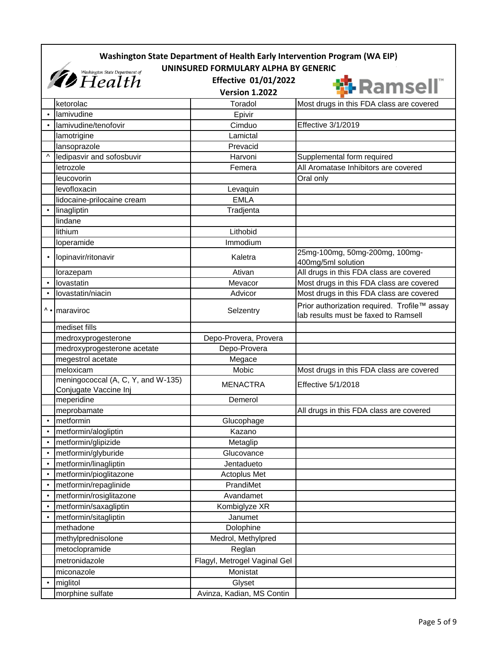|                                                                                       | Washington State Department of Health Early Intervention Program (WA EIP)<br>UNINSURED FORMULARY ALPHA BY GENERIC |                              |                                                                                      |
|---------------------------------------------------------------------------------------|-------------------------------------------------------------------------------------------------------------------|------------------------------|--------------------------------------------------------------------------------------|
| <i><b><i>Co</i></b> Washington State Department of</i><br><b>Effective 01/01/2022</b> |                                                                                                                   |                              | <b>协 Ramsell</b>                                                                     |
|                                                                                       |                                                                                                                   | <b>Version 1.2022</b>        |                                                                                      |
|                                                                                       | ketorolac                                                                                                         | Toradol                      | Most drugs in this FDA class are covered                                             |
|                                                                                       | lamivudine                                                                                                        | Epivir                       |                                                                                      |
|                                                                                       | lamivudine/tenofovir                                                                                              | Cimduo                       | Effective 3/1/2019                                                                   |
|                                                                                       | lamotrigine                                                                                                       | Lamictal                     |                                                                                      |
|                                                                                       | lansoprazole                                                                                                      | Prevacid                     |                                                                                      |
| ۸                                                                                     | ledipasvir and sofosbuvir                                                                                         | Harvoni                      | Supplemental form required                                                           |
|                                                                                       | letrozole                                                                                                         | Femera                       | All Aromatase Inhibitors are covered                                                 |
|                                                                                       | leucovorin                                                                                                        |                              | Oral only                                                                            |
|                                                                                       | levofloxacin                                                                                                      | Levaquin                     |                                                                                      |
|                                                                                       | lidocaine-prilocaine cream                                                                                        | <b>EMLA</b>                  |                                                                                      |
|                                                                                       | linagliptin                                                                                                       | Tradjenta                    |                                                                                      |
|                                                                                       | lindane                                                                                                           |                              |                                                                                      |
|                                                                                       | lithium                                                                                                           | Lithobid                     |                                                                                      |
|                                                                                       | loperamide                                                                                                        | Immodium                     |                                                                                      |
| $\bullet$                                                                             | lopinavir/ritonavir                                                                                               | Kaletra                      | 25mg-100mg, 50mg-200mg, 100mg-<br>400mg/5ml solution                                 |
|                                                                                       | lorazepam                                                                                                         | Ativan                       | All drugs in this FDA class are covered                                              |
| $\bullet$                                                                             | lovastatin                                                                                                        | Mevacor                      | Most drugs in this FDA class are covered                                             |
|                                                                                       | lovastatin/niacin                                                                                                 | Advicor                      | Most drugs in this FDA class are covered                                             |
|                                                                                       | ^ • maraviroc                                                                                                     | Selzentry                    | Prior authorization required. Trofile™ assay<br>lab results must be faxed to Ramsell |
|                                                                                       | mediset fills                                                                                                     |                              |                                                                                      |
|                                                                                       | medroxyprogesterone                                                                                               | Depo-Provera, Provera        |                                                                                      |
|                                                                                       | medroxyprogesterone acetate                                                                                       | Depo-Provera                 |                                                                                      |
|                                                                                       | megestrol acetate                                                                                                 | Megace                       |                                                                                      |
|                                                                                       | meloxicam                                                                                                         | Mobic                        | Most drugs in this FDA class are covered                                             |
|                                                                                       | meningococcal (A, C, Y, and W-135)<br>Conjugate Vaccine Inj                                                       | <b>MENACTRA</b>              | Effective 5/1/2018                                                                   |
|                                                                                       | meperidine                                                                                                        | Demerol                      |                                                                                      |
|                                                                                       | meprobamate                                                                                                       |                              | All drugs in this FDA class are covered                                              |
| $\bullet$                                                                             | metformin                                                                                                         | Glucophage                   |                                                                                      |
|                                                                                       | metformin/alogliptin                                                                                              | Kazano                       |                                                                                      |
|                                                                                       | metformin/glipizide                                                                                               | Metaglip                     |                                                                                      |
| $\bullet$                                                                             | metformin/glyburide                                                                                               | Glucovance                   |                                                                                      |
|                                                                                       | metformin/linagliptin                                                                                             | Jentadueto                   |                                                                                      |
| $\bullet$                                                                             | metformin/pioglitazone                                                                                            | Actoplus Met                 |                                                                                      |
|                                                                                       | metformin/repaglinide                                                                                             | PrandiMet                    |                                                                                      |
| $\bullet$                                                                             | metformin/rosiglitazone                                                                                           | Avandamet                    |                                                                                      |
| $\bullet$                                                                             | metformin/saxagliptin                                                                                             | Kombiglyze XR                |                                                                                      |
|                                                                                       | metformin/sitagliptin                                                                                             | Janumet                      |                                                                                      |
|                                                                                       | methadone                                                                                                         | Dolophine                    |                                                                                      |
|                                                                                       | methylprednisolone                                                                                                | Medrol, Methylpred           |                                                                                      |
|                                                                                       | metoclopramide                                                                                                    | Reglan                       |                                                                                      |
|                                                                                       | metronidazole                                                                                                     | Flagyl, Metrogel Vaginal Gel |                                                                                      |
|                                                                                       | miconazole                                                                                                        | Monistat                     |                                                                                      |
| $\bullet$                                                                             | miglitol                                                                                                          | Glyset                       |                                                                                      |
|                                                                                       | morphine sulfate                                                                                                  | Avinza, Kadian, MS Contin    |                                                                                      |
|                                                                                       |                                                                                                                   |                              |                                                                                      |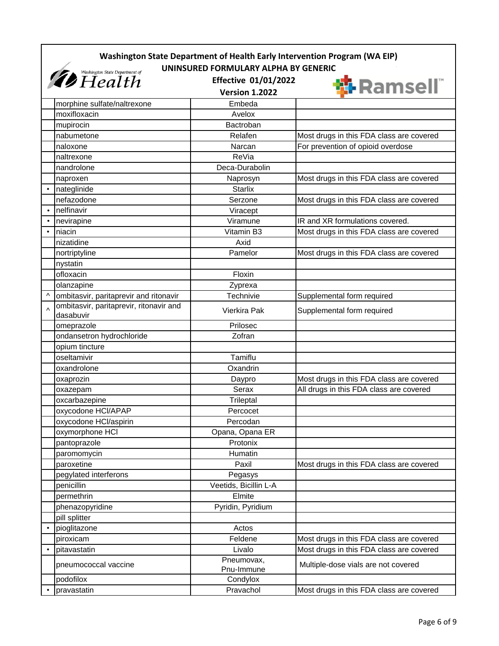|           | Washington State Department of Health Early Intervention Program (WA EIP) |                                                                                              |                                          |  |
|-----------|---------------------------------------------------------------------------|----------------------------------------------------------------------------------------------|------------------------------------------|--|
|           | <i><b>D</b></i> Washington State Department of                            | UNINSURED FORMULARY ALPHA BY GENERIC<br><b>Effective 01/01/2022</b><br><b>Version 1.2022</b> | <b>锦 Ramsell</b>                         |  |
|           | morphine sulfate/naltrexone                                               | Embeda                                                                                       |                                          |  |
|           | moxifloxacin                                                              | Avelox                                                                                       |                                          |  |
|           | mupirocin                                                                 | Bactroban                                                                                    |                                          |  |
|           | nabumetone                                                                | Relafen                                                                                      | Most drugs in this FDA class are covered |  |
|           | naloxone                                                                  | Narcan                                                                                       | For prevention of opioid overdose        |  |
|           | naltrexone                                                                | ReVia                                                                                        |                                          |  |
|           | nandrolone                                                                | Deca-Durabolin                                                                               |                                          |  |
|           | naproxen                                                                  | Naprosyn                                                                                     | Most drugs in this FDA class are covered |  |
|           | nateglinide                                                               | <b>Starlix</b>                                                                               |                                          |  |
|           | nefazodone                                                                | Serzone                                                                                      | Most drugs in this FDA class are covered |  |
|           | nelfinavir                                                                | Viracept                                                                                     |                                          |  |
|           | nevirapine                                                                | Viramune                                                                                     | IR and XR formulations covered.          |  |
|           | niacin                                                                    | Vitamin B3                                                                                   | Most drugs in this FDA class are covered |  |
|           | nizatidine                                                                | Axid                                                                                         |                                          |  |
|           | nortriptyline                                                             | Pamelor                                                                                      | Most drugs in this FDA class are covered |  |
|           | nystatin                                                                  |                                                                                              |                                          |  |
|           | ofloxacin                                                                 | Floxin                                                                                       |                                          |  |
|           | olanzapine                                                                | Zyprexa                                                                                      |                                          |  |
| $\wedge$  | ombitasvir, paritaprevir and ritonavir                                    | Technivie                                                                                    | Supplemental form required               |  |
| $\Lambda$ | ombitasvir, paritaprevir, ritonavir and<br>dasabuvir                      | Vierkira Pak                                                                                 | Supplemental form required               |  |
|           | omeprazole                                                                | Prilosec                                                                                     |                                          |  |
|           | ondansetron hydrochloride                                                 | Zofran                                                                                       |                                          |  |
|           | opium tincture                                                            |                                                                                              |                                          |  |
|           | oseltamivir                                                               | Tamiflu                                                                                      |                                          |  |
|           | oxandrolone                                                               | Oxandrin                                                                                     |                                          |  |
|           | oxaprozin                                                                 | Daypro                                                                                       | Most drugs in this FDA class are covered |  |
|           | oxazepam                                                                  | Serax                                                                                        | All drugs in this FDA class are covered  |  |
|           | oxcarbazepine                                                             | Trileptal                                                                                    |                                          |  |
|           | oxycodone HCI/APAP                                                        | Percocet                                                                                     |                                          |  |
|           | oxycodone HCl/aspirin                                                     | Percodan                                                                                     |                                          |  |
|           | oxymorphone HCI                                                           | Opana, Opana ER                                                                              |                                          |  |
|           | pantoprazole                                                              | Protonix                                                                                     |                                          |  |
|           | paromomycin                                                               | Humatin                                                                                      |                                          |  |
|           | paroxetine                                                                | Paxil                                                                                        | Most drugs in this FDA class are covered |  |
|           | pegylated interferons                                                     | Pegasys                                                                                      |                                          |  |
|           | penicillin                                                                | Veetids, Bicillin L-A                                                                        |                                          |  |
|           | permethrin                                                                | Elmite                                                                                       |                                          |  |
|           | phenazopyridine                                                           | Pyridin, Pyridium                                                                            |                                          |  |
|           | pill splitter                                                             |                                                                                              |                                          |  |
|           | pioglitazone                                                              | Actos                                                                                        |                                          |  |
|           | piroxicam                                                                 | Feldene                                                                                      | Most drugs in this FDA class are covered |  |
| $\bullet$ | pitavastatin                                                              | Livalo                                                                                       | Most drugs in this FDA class are covered |  |
|           | pneumococcal vaccine                                                      | Pneumovax,<br>Pnu-Immune                                                                     | Multiple-dose vials are not covered      |  |
|           | podofilox                                                                 | Condylox                                                                                     |                                          |  |
|           | pravastatin                                                               | Pravachol                                                                                    | Most drugs in this FDA class are covered |  |
|           |                                                                           |                                                                                              |                                          |  |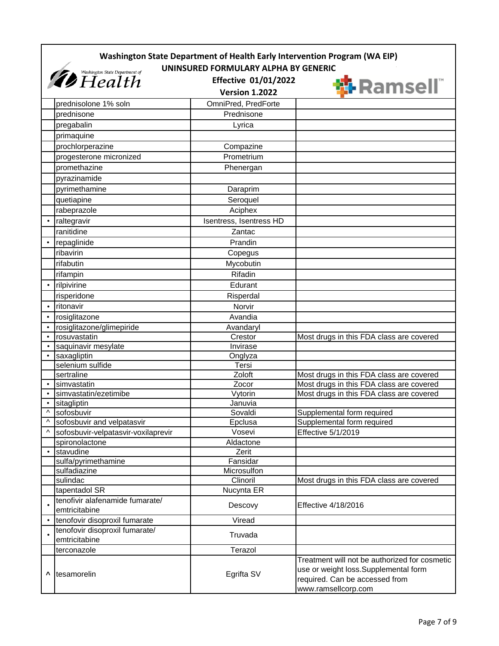|           | Washington State Department of Health Early Intervention Program (WA EIP)<br>UNINSURED FORMULARY ALPHA BY GENERIC |                                                      |                                                                                                                                                |
|-----------|-------------------------------------------------------------------------------------------------------------------|------------------------------------------------------|------------------------------------------------------------------------------------------------------------------------------------------------|
|           | <i><b><i>Co</i></b> Washington State Department of</i>                                                            | <b>Effective 01/01/2022</b><br><b>Version 1.2022</b> | <b>锦 Ramsell</b>                                                                                                                               |
|           | prednisolone 1% soln                                                                                              | OmniPred, PredForte                                  |                                                                                                                                                |
|           | prednisone                                                                                                        | Prednisone                                           |                                                                                                                                                |
|           | pregabalin                                                                                                        | Lyrica                                               |                                                                                                                                                |
|           | primaquine                                                                                                        |                                                      |                                                                                                                                                |
|           | prochlorperazine                                                                                                  | Compazine                                            |                                                                                                                                                |
|           | progesterone micronized                                                                                           | Prometrium                                           |                                                                                                                                                |
|           | promethazine                                                                                                      |                                                      |                                                                                                                                                |
|           |                                                                                                                   | Phenergan                                            |                                                                                                                                                |
|           | pyrazinamide                                                                                                      |                                                      |                                                                                                                                                |
|           | pyrimethamine                                                                                                     | Daraprim                                             |                                                                                                                                                |
|           | quetiapine                                                                                                        | Seroquel                                             |                                                                                                                                                |
|           | rabeprazole                                                                                                       | Aciphex                                              |                                                                                                                                                |
|           | raltegravir                                                                                                       | Isentress, Isentress HD                              |                                                                                                                                                |
|           | ranitidine                                                                                                        | Zantac                                               |                                                                                                                                                |
|           | repaglinide                                                                                                       | Prandin                                              |                                                                                                                                                |
|           | ribavirin                                                                                                         | Copegus                                              |                                                                                                                                                |
|           | rifabutin                                                                                                         | Mycobutin                                            |                                                                                                                                                |
|           | rifampin                                                                                                          | Rifadin                                              |                                                                                                                                                |
| $\bullet$ | rilpivirine                                                                                                       | Edurant                                              |                                                                                                                                                |
|           | risperidone                                                                                                       | Risperdal                                            |                                                                                                                                                |
| $\bullet$ | ritonavir                                                                                                         | Norvir                                               |                                                                                                                                                |
|           | rosiglitazone                                                                                                     | Avandia                                              |                                                                                                                                                |
|           | rosiglitazone/glimepiride                                                                                         | Avandaryl                                            |                                                                                                                                                |
| $\bullet$ | rosuvastatin                                                                                                      | Crestor                                              | Most drugs in this FDA class are covered                                                                                                       |
|           | saquinavir mesylate                                                                                               | Invirase                                             |                                                                                                                                                |
|           | saxagliptin                                                                                                       | Onglyza                                              |                                                                                                                                                |
|           | selenium sulfide                                                                                                  | Tersi                                                |                                                                                                                                                |
|           | sertraline                                                                                                        | Zoloft                                               | Most drugs in this FDA class are covered                                                                                                       |
|           | simvastatin                                                                                                       | Zocor                                                | Most drugs in this FDA class are covered                                                                                                       |
|           | simvastatin/ezetimibe                                                                                             | Vytorin                                              | Most drugs in this FDA class are covered                                                                                                       |
|           | sitagliptin                                                                                                       | Januvia                                              |                                                                                                                                                |
| Λ         | sofosbuvir                                                                                                        | Sovaldi                                              | Supplemental form required                                                                                                                     |
| ۸         | sofosbuvir and velpatasvir                                                                                        | Epclusa                                              | Supplemental form required                                                                                                                     |
| Λ         | sofosbuvir-velpatasvir-voxilaprevir                                                                               | Vosevi                                               | Effective 5/1/2019                                                                                                                             |
|           | spironolactone                                                                                                    | Aldactone                                            |                                                                                                                                                |
| $\bullet$ | stavudine                                                                                                         | Zerit                                                |                                                                                                                                                |
|           | sulfa/pyrimethamine                                                                                               | Fansidar                                             |                                                                                                                                                |
|           | sulfadiazine                                                                                                      | Microsulfon                                          |                                                                                                                                                |
|           | sulindac                                                                                                          | Clinoril                                             | Most drugs in this FDA class are covered                                                                                                       |
|           | tapentadol SR                                                                                                     | Nucynta ER                                           |                                                                                                                                                |
|           | tenofivir alafenamide fumarate/<br>emtricitabine                                                                  | Descovy                                              | Effective 4/18/2016                                                                                                                            |
|           | tenofovir disoproxil fumarate                                                                                     | Viread                                               |                                                                                                                                                |
|           | tenofovir disoproxil fumarate/<br>emtricitabine                                                                   | Truvada                                              |                                                                                                                                                |
|           | terconazole                                                                                                       | Terazol                                              |                                                                                                                                                |
| ٨         | tesamorelin                                                                                                       | Egrifta SV                                           | Treatment will not be authorized for cosmetic<br>use or weight loss.Supplemental form<br>required. Can be accessed from<br>www.ramsellcorp.com |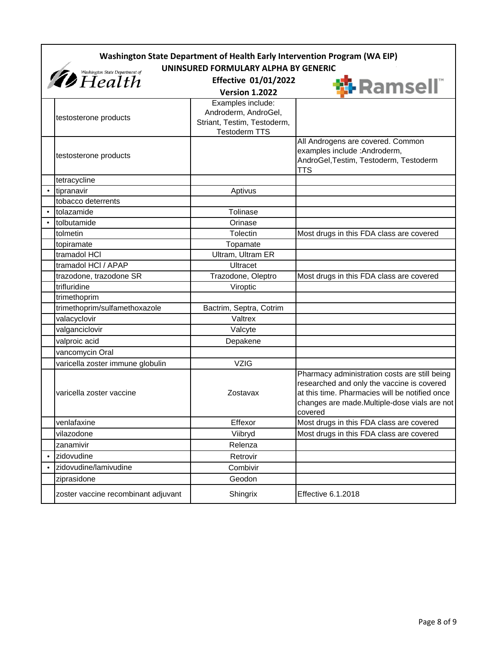|                                      | Washington State Department of Health Early Intervention Program (WA EIP) |                                                                                                  |                                                                                                                                                                                                          |  |
|--------------------------------------|---------------------------------------------------------------------------|--------------------------------------------------------------------------------------------------|----------------------------------------------------------------------------------------------------------------------------------------------------------------------------------------------------------|--|
| UNINSURED FORMULARY ALPHA BY GENERIC |                                                                           |                                                                                                  |                                                                                                                                                                                                          |  |
|                                      | <i><b>D</b></i> Washington State Department of                            | <b>Effective 01/01/2022</b><br><b>Version 1.2022</b>                                             | <b>岛 Ramsell</b> "                                                                                                                                                                                       |  |
|                                      | testosterone products                                                     | Examples include:<br>Androderm, AndroGel,<br>Striant, Testim, Testoderm,<br><b>Testoderm TTS</b> |                                                                                                                                                                                                          |  |
|                                      | testosterone products                                                     |                                                                                                  | All Androgens are covered. Common<br>examples include : Androderm,<br>AndroGel, Testim, Testoderm, Testoderm<br>TTS                                                                                      |  |
|                                      | tetracycline                                                              |                                                                                                  |                                                                                                                                                                                                          |  |
| $\bullet$                            | tipranavir                                                                | Aptivus                                                                                          |                                                                                                                                                                                                          |  |
|                                      | tobacco deterrents                                                        |                                                                                                  |                                                                                                                                                                                                          |  |
|                                      | tolazamide                                                                | Tolinase                                                                                         |                                                                                                                                                                                                          |  |
|                                      | tolbutamide                                                               | Orinase                                                                                          |                                                                                                                                                                                                          |  |
|                                      | tolmetin                                                                  | <b>Tolectin</b>                                                                                  | Most drugs in this FDA class are covered                                                                                                                                                                 |  |
|                                      | topiramate                                                                | Topamate                                                                                         |                                                                                                                                                                                                          |  |
|                                      | tramadol HCI                                                              | Ultram, Ultram ER                                                                                |                                                                                                                                                                                                          |  |
|                                      | tramadol HCI / APAP                                                       | Ultracet                                                                                         |                                                                                                                                                                                                          |  |
|                                      | trazodone, trazodone SR                                                   | Trazodone, Oleptro                                                                               | Most drugs in this FDA class are covered                                                                                                                                                                 |  |
|                                      | trifluridine                                                              | Viroptic                                                                                         |                                                                                                                                                                                                          |  |
|                                      | trimethoprim                                                              |                                                                                                  |                                                                                                                                                                                                          |  |
|                                      | trimethoprim/sulfamethoxazole                                             | Bactrim, Septra, Cotrim                                                                          |                                                                                                                                                                                                          |  |
|                                      | valacyclovir                                                              | Valtrex                                                                                          |                                                                                                                                                                                                          |  |
|                                      | valganciclovir                                                            | Valcyte                                                                                          |                                                                                                                                                                                                          |  |
|                                      | valproic acid                                                             | Depakene                                                                                         |                                                                                                                                                                                                          |  |
|                                      | vancomycin Oral                                                           |                                                                                                  |                                                                                                                                                                                                          |  |
|                                      | varicella zoster immune globulin                                          | <b>VZIG</b>                                                                                      |                                                                                                                                                                                                          |  |
|                                      | varicella zoster vaccine                                                  | Zostavax                                                                                         | Pharmacy administration costs are still being<br>researched and only the vaccine is covered<br>at this time. Pharmacies will be notified once<br>changes are made.Multiple-dose vials are not<br>covered |  |
|                                      | venlafaxine                                                               | Effexor                                                                                          | Most drugs in this FDA class are covered                                                                                                                                                                 |  |
|                                      | vilazodone                                                                | Viibryd                                                                                          | Most drugs in this FDA class are covered                                                                                                                                                                 |  |
|                                      | zanamivir                                                                 | Relenza                                                                                          |                                                                                                                                                                                                          |  |
|                                      | zidovudine                                                                | Retrovir                                                                                         |                                                                                                                                                                                                          |  |
|                                      | zidovudine/lamivudine                                                     | Combivir                                                                                         |                                                                                                                                                                                                          |  |
|                                      | ziprasidone                                                               | Geodon                                                                                           |                                                                                                                                                                                                          |  |
|                                      | zoster vaccine recombinant adjuvant                                       | Shingrix                                                                                         | Effective 6.1.2018                                                                                                                                                                                       |  |